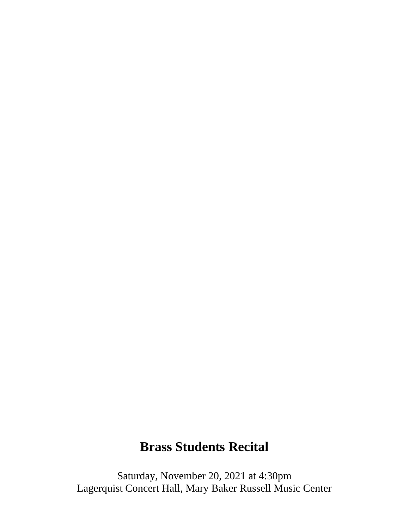# **Brass Students Recital**

Saturday, November 20, 2021 at 4:30pm Lagerquist Concert Hall, Mary Baker Russell Music Center